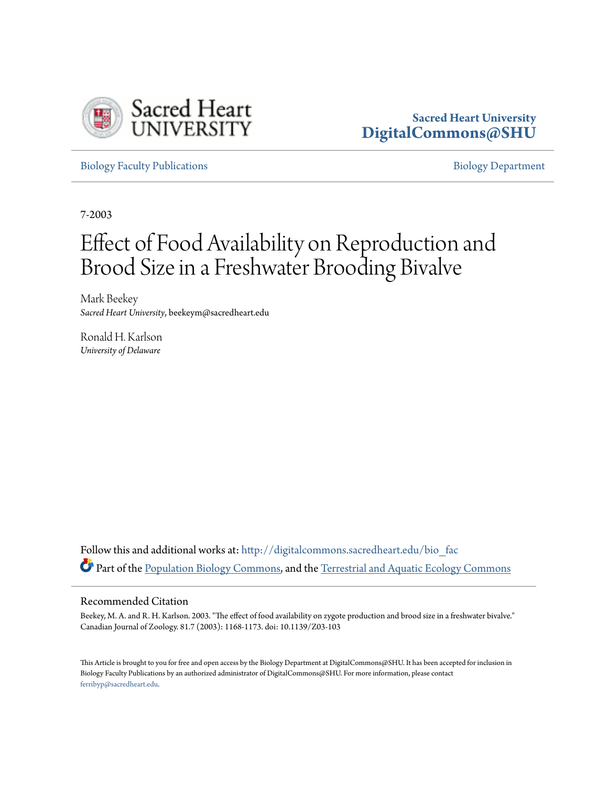

### **Sacred Heart University [DigitalCommons@SHU](http://digitalcommons.sacredheart.edu?utm_source=digitalcommons.sacredheart.edu%2Fbio_fac%2F67&utm_medium=PDF&utm_campaign=PDFCoverPages)**

[Biology Faculty Publications](http://digitalcommons.sacredheart.edu/bio_fac?utm_source=digitalcommons.sacredheart.edu%2Fbio_fac%2F67&utm_medium=PDF&utm_campaign=PDFCoverPages) **[Biology Department](http://digitalcommons.sacredheart.edu/bio?utm_source=digitalcommons.sacredheart.edu%2Fbio_fac%2F67&utm_medium=PDF&utm_campaign=PDFCoverPages)** 

7-2003

# Effect of Food Availability on Reproduction and Brood Size in a Freshwater Brooding Bivalve

Mark Beekey *Sacred Heart University*, beekeym@sacredheart.edu

Ronald H. Karlson *University of Delaware*

Follow this and additional works at: [http://digitalcommons.sacredheart.edu/bio\\_fac](http://digitalcommons.sacredheart.edu/bio_fac?utm_source=digitalcommons.sacredheart.edu%2Fbio_fac%2F67&utm_medium=PDF&utm_campaign=PDFCoverPages) Part of the [Population Biology Commons,](https://network.bepress.com/hgg/discipline/19?utm_source=digitalcommons.sacredheart.edu%2Fbio_fac%2F67&utm_medium=PDF&utm_campaign=PDFCoverPages) and the [Terrestrial and Aquatic Ecology Commons](https://network.bepress.com/hgg/discipline/20?utm_source=digitalcommons.sacredheart.edu%2Fbio_fac%2F67&utm_medium=PDF&utm_campaign=PDFCoverPages)

#### Recommended Citation

Beekey, M. A. and R. H. Karlson. 2003. "The effect of food availability on zygote production and brood size in a freshwater bivalve." Canadian Journal of Zoology. 81.7 (2003): 1168-1173. doi: 10.1139/Z03-103

This Article is brought to you for free and open access by the Biology Department at DigitalCommons@SHU. It has been accepted for inclusion in Biology Faculty Publications by an authorized administrator of DigitalCommons@SHU. For more information, please contact [ferribyp@sacredheart.edu](mailto:ferribyp@sacredheart.edu).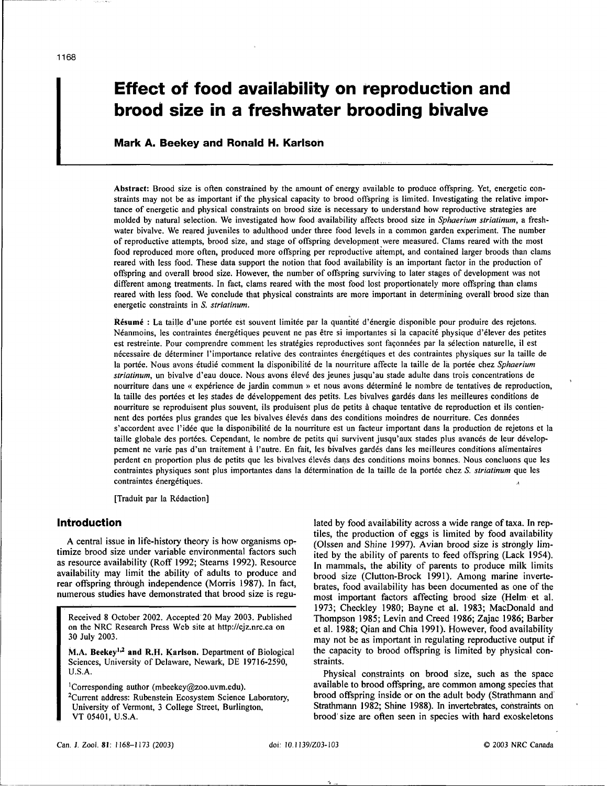## **Effect of food availability on reproduction and brood size in a freshwater brooding bivalve**

#### Mark A. Beekey and Ronald H. Karlson

Abstract: Brood size is often constrained by the amount of energy available to produce offspring. Yet, energetic constraints may not be as important if the physical capacity to brood offspring is limited. Investigating the relative importance of energetic and physical constraints on brood size is necessary to understand how reproductive strategies are molded by natural selection. We investigated how food availability affects brood size in *Sphaerium striatinum,* a freshwater bivalve. We reared juveniles to adulthood under three food levels in a common garden experiment. The number of reproductive attempts, brood size, and stage of offspring development were measured. Clams reared with the most food reproduced more often, produced more offspring per reproductive attempt, and contained larger broods than clams reared with less food. These data support the notion that food availability is an important factor in the production of offspring and overall brood size. However, the number of offspring surviving to later stages of development was not different among treatments. In fact, clams reared with the most food lost proportionately more offspring than clams reared with less food. We conclude that physical constraints are more important in determining overall brood size than energetic constraints in *S. striatinum.* 

Résumé : La taille d'une portée est souvent limitée par la quantité d'énergie disponible pour produire des rejetons. Neanmoins, les contraintes energetiques peuvent ne pas etre si importantes si la capacite physique d'elever des petites est restreinte. Pour comprendre comment les stratégies reproductives sont façonnées par la sélection naturelle, il est nécessaire de déterminer l'importance relative des contraintes énergétiques et des contraintes physiques sur la taille de la portée. Nous avons étudié comment la disponibilité de la nourriture affecte la taille de la portée chez Sphaerium *striatinum,* un bivalve d'eau douce. Nous avons eieve des jeunes jusqu'au stade adulte dans trois concentrations de nourriture dans une « expérience de jardin commun » et nous avons déterminé le nombre de tentatives de reproduction, la taille des portées et les stades de développement des petits. Les bivalves gardés dans les meilleures conditions de nourriture se reproduisent plus souvent, ils produisent plus de petits a chaque tentative de reproduction et ils contiennent des portees plus grandes que les bivalves eleves dans des conditions moindres de nourriture. Ces donnees s'accordent avec l'idée que la disponibilité de la nourriture est un facteur important dans la production de rejetons et la taille globale des portées. Cependant, le nombre de petits qui survivent jusqu'aux stades plus avancés de leur développement ne varie pas d'un traitement a l'autre. En fait, les bivalves gardes dans les meilleures conditions alimentaires perdent en proportion plus de petits que les bivalves eleves dans des conditions moins bonnes. Nous concluons que les contraintes physiques sont plus importantes dans la determination de la taille de la portee chez *S. striatinum* que les contraintes energetiques.

[Traduit par la Redaction]

#### Introduction

A central issue in life-history theory is how organisms optimize brood size under variable environmental factors such as resource availability (Roff 1992; Stearns 1992). Resource availability may limit the ability of adults to produce and rear offspring through independence (Morris 1987). In fact, numerous studies have demonstrated that brood size is regu-

Received 8 October 2002. Accepted 20 May 2003. Published on the NRC Research Press Web site at [http://cjz.nrc.ca o](http://cjz.nrc.ca)n 30 July 2003.

M.A. Beekey<sup>1,2</sup> and R.H. Karlson. Department of Biological Sciences, University of Delaware, Newark, DE 19716-2590, U.S.A.

<sup>1</sup>Corresponding author [\(mbeekey@zoo.uvm.edu\).](mailto:mbeekey@zoo.uvm.edu) <sup>2</sup>Current address: Rubenstein Ecosystem Science Laboratory, University of Vermont, 3 College Street, Burlington, VT 05401, U.S.A.

lated by food availability across a wide range of taxa. In reptiles, the production of eggs is limited by food availability (Olssen and Shine 1997). Avian brood size is strongly limited by the ability of parents to feed offspring (Lack 1954). In mammals, the ability of parents to produce milk limits brood size (Clutton-Brock 1991). Among marine invertebrates, food availability has been documented as one of the most important factors affecting brood size (Helm et al. 1973; Checkley 1980; Bayne et al. 1983; MacDonald and Thompson 1985; Levin and Creed 1986; Zajac 1986; Barber et al. 1988; Qian and Chia 1991). However, food availability may not be as important in regulating reproductive output if the capacity to brood offspring is limited by physical constraints.

Physical constraints on brood size, such as the space available to brood offspring, are common among species that brood offspring inside or on the adult body (Strathmann and Strathmann 1982; Shine 1988). In invertebrates, constraints on brood size are often seen in species with hard exoskeletons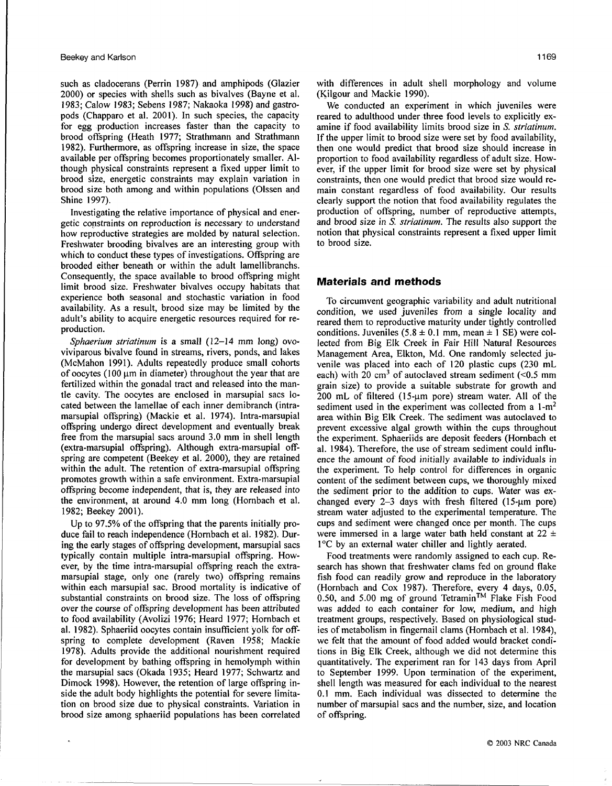such as cladocerans (Perrin 1987) and amphipods (Glazier 2000) or species with shells such as bivalves (Bayne et al. 1983; Calow 1983; Sebens 1987; Nakaoka 1998) and gastropods (Chapparo et al. 2001). In such species, the capacity for egg production increases faster than the capacity to brood offspring (Heath 1977; Strathmann and Strathmann 1982). Furthermore, as offspring increase in size, the space available per offspring becomes proportionately smaller. Although physical constraints represent a fixed upper limit to brood size, energetic constraints may explain variation in brood size both among and within populations (Olssen and Shine 1997).

Investigating the relative importance of physical and energetic constraints on reproduction is necessary to understand how reproductive strategies are molded by natural selection. Freshwater brooding bivalves are an interesting group with which to conduct these types of investigations. Offspring are brooded either beneath or within the adult lamellibranchs. Consequently, the space available to brood offspring might limit brood size. Freshwater bivalves occupy habitats that experience both seasonal and stochastic variation in food availability. As a result, brood size may be limited by the adult's ability to acquire energetic resources required for reproduction.

*Sphaerium striatinum* is a small (12-14 mm long) ovoviviparous bivalve found in streams, rivers, ponds, and lakes (McMahon 1991). Adults repeatedly produce small cohorts of oocytes (100 µm in diameter) throughout the year that are fertilized within the gonadal tract and released into the mantle cavity. The oocytes are enclosed in marsupial sacs located between the lamellae of each inner demibranch (intramarsupial offspring) (Mackie et al. 1974). Intra-marsupial offspring undergo direct development and eventually break free from the marsupial sacs around 3.0 mm in shell length (extra-marsupial offspring). Although extra-marsupial offspring are competent (Beekey et al. 2000), they are retained within the adult. The retention of extra-marsupial offspring promotes growth within a safe environment. Extra-marsupial offspring become independent, that is, they are released into the environment, at around 4.0 mm long (Hornbach et al. 1982; Beekey 2001).

Up to 97.5% of the offspring that the parents initially produce fail to reach independence (Hornbach et al. 1982). During the early stages of offspring development, marsupial sacs typically contain multiple intra-marsupial offspring. However, by the time intra-marsupial offspring reach the extramarsupial stage, only one (rarely two) offspring remains within each marsupial sac. Brood mortality is indicative of substantial constraints on brood size. The loss of offspring over the course of offspring development has been attributed to food availability (Avolizi 1976; Heard 1977; Hornbach et al. 1982). Sphaeriid oocytes contain insufficient yolk for offspring to complete development (Raven 1958; Mackie 1978). Adults provide the additional nourishment required for development by bathing offspring in hemolymph within the marsupial sacs (Okada 1935; Heard 1977; Schwartz and Dimock 1998). However, the retention of large offspring inside the adult body highlights the potential for severe limitation on brood size due to physical constraints. Variation in brood size among sphaeriid populations has been correlated

with differences in adult shell morphology and volume (Kilgour and Mackie 1990).

We conducted an experiment in which juveniles were reared to adulthood under three food levels to explicitly examine if food availability limits brood size in *S. striatinum.*  If the upper limit to brood size were set by food availability, then one would predict that brood size should increase in proportion to food availability regardless of adult size. However, if the upper limit for brood size were set by physical constraints, then one would predict that brood size would remain constant regardless of food availability. Our results clearly support the notion that food availability regulates the production of offspring, number of reproductive attempts, and brood size in *S. striatinum.* The results also support the notion that physical constraints represent a fixed upper limit to brood size.

#### **Materials and methods**

To circumvent geographic variability and adult nutritional condition, we used juveniles from a single locality and reared them to reproductive maturity under tightly controlled conditions. Juveniles  $(5.8 \pm 0.1 \text{ mm})$ , mean  $\pm 1$  SE) were collected from Big Elk Creek in Fair Hill Natural Resources Management Area, Elkton, Md. One randomly selected juvenile was placed into each of 120 plastic cups (230 mL each) with 20 cm<sup>3</sup> of autoclaved stream sediment  $\left(\leq 0.5 \text{ mm}\right)$ grain size) to provide a suitable substrate for growth and  $200$  mL of filtered (15- $\mu$ m pore) stream water. All of the sediment used in the experiment was collected from a 1-m<sup>2</sup> area within Big Elk Creek. The sediment was autoclaved to prevent excessive algal growth within the cups throughout the experiment. Sphaeriids are deposit feeders (Hornbach et al. 1984). Therefore, the use of stream sediment could influence the amount of food initially available to individuals in the experiment. To help control for differences in organic content of the sediment between cups, we thoroughly mixed the sediment prior to the addition to cups. Water was exchanged every  $2-3$  days with fresh filtered (15- $\mu$ m pore) stream water adjusted to the experimental temperature. The cups and sediment were changed once per month. The cups were immersed in a large water bath held constant at  $22 \pm$ 1°C by an external water chiller and lightly aerated.

Food treatments were randomly assigned to each cup. Research has shown that freshwater clams fed on ground flake fish food can readily grow and reproduce in the laboratory (Hornbach and Cox 1987). Therefore, every 4 days, 0.05, 0.50, and 5.00 mg of ground Tetramin™ Flake Fish Food was added to each container for low, medium, and high treatment groups, respectively. Based on physiological studies of metabolism in fingernail clams (Hornbach et al. 1984), we felt that the amount of food added would bracket conditions in Big Elk Creek, although we did not determine this quantitatively. The experiment ran for 143 days from April to September 1999. Upon termination of the experiment, shell length was measured for each individual to the nearest 0.1 mm. Each individual was dissected to determine the number of marsupial sacs and the number, size, and location of offspring.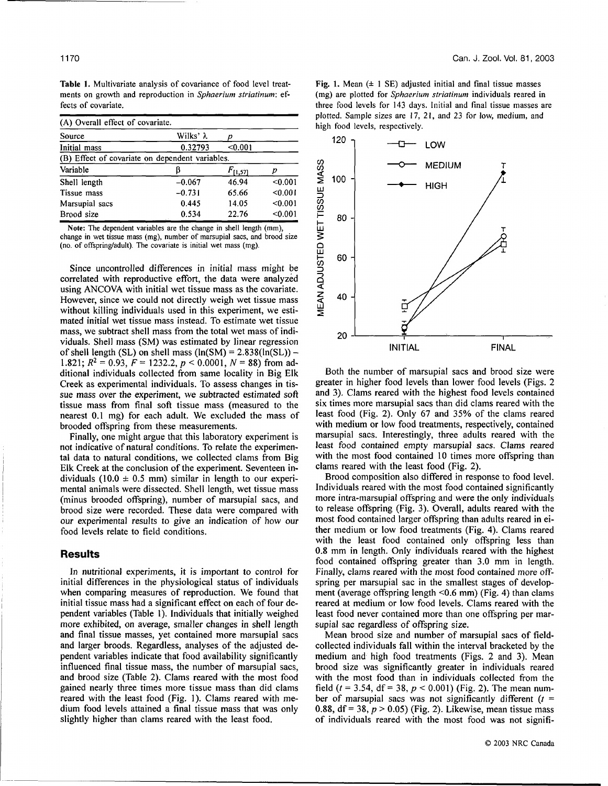Table 1. Multivariate analysis of covariance of food level treatments on growth and reproduction in *Sphaerium striatinum:* effects of covariate.

| (A) Overall effect of covariate.                |                  |              |         |  |  |  |
|-------------------------------------------------|------------------|--------------|---------|--|--|--|
| Source                                          | Wilks' $\lambda$ |              |         |  |  |  |
| Initial mass                                    | 0.32793          | < 0.001      |         |  |  |  |
| (B) Effect of covariate on dependent variables. |                  |              |         |  |  |  |
| Variable                                        |                  | $F_{[1,57]}$ |         |  |  |  |
| Shell length                                    | $-0.067$         | 46.94        | < 0.001 |  |  |  |
| Tissue mass                                     | $-0.731$         | 65.66        | < 0.001 |  |  |  |
| Marsupial sacs                                  | 0.445            | 14.05        | < 0.001 |  |  |  |
| Brood size                                      | 0.534            | 22.76        | < 0.001 |  |  |  |

Note: The dependent variables are the change in shell length (mm), change in wet tissue mass (mg), number of marsupial sacs, and brood size (no. of offspring/adult). The covariate is initial wet mass (mg).

Since uncontrolled differences in initial mass might be correlated with reproductive effort, the data were analyzed using ANCOVA with initial wet tissue mass as the covariate. However, since we could not directly weigh wet tissue mass without killing individuals used in this experiment, we estimated initial wet tissue mass instead. To estimate wet tissue mass, we subtract shell mass from the total wet mass of individuals. Shell mass (SM) was estimated by linear regression of shell length (SL) on shell mass  $(ln(SM) = 2.838(ln(SL)) -$ 1.821;  $R^2 = 0.93$ ,  $F = 1232.2$ ,  $p < 0.0001$ ,  $N = 88$ ) from additional individuals collected from same locality in Big Elk Creek as experimental individuals. To assess changes in tissue mass over the experiment, we subtracted estimated soft tissue mass from final soft tissue mass (measured to the nearest 0.1 mg) for each adult. We excluded the mass of brooded offspring from these measurements.

Finally, one might argue that this laboratory experiment is not indicative of natural conditions. To relate the experimental data to natural conditions, we collected clams from Big Elk Creek at the conclusion of the experiment. Seventeen individuals (10.0  $\pm$  0.5 mm) similar in length to our experimental animals were dissected. Shell length, wet tissue mass (minus brooded offspring), number of marsupial sacs, and brood size were recorded. These data were compared with our experimental results to give an indication of how our food levels relate to field conditions.

#### Results

In nutritional experiments, it is important to control for initial differences in the physiological status of individuals when comparing measures of reproduction. We found that initial tissue mass had a significant effect on each of four dependent variables (Table 1). Individuals that initially weighed more exhibited, on average, smaller changes in shell length and final tissue masses, yet contained more marsupial sacs and larger broods. Regardless, analyses of the adjusted dependent variables indicate that food availability significantly influenced final tissue mass, the number of marsupial sacs, and brood size (Table 2). Clams reared with the most food gained nearly three times more tissue mass than did clams reared with the least food (Fig. 1). Clams reared with medium food levels attained a final tissue mass that was only slightly higher than clams reared with the least food.

plotted. Sample sizes are 17, 21, and 23 for low, medium, and high faced burdle assessed in high food levels, respectively. Fig. 1. Mean  $(\pm 1 \text{ SE})$  adjusted initial and final tissue masses (mg) are plotted for *Sphaerium striatinum* individuals reared in three food levels for 143 days. Initial and final tissue masses are



Both the number of marsupial sacs and brood size were greater in higher food levels than lower food levels (Figs. 2 and 3). Clams reared with the highest food levels contained six times more marsupial sacs than did clams reared with the least food (Fig. 2). Only 67 and 35% of the clams reared with medium or low food treatments, respectively, contained marsupial sacs. Interestingly, three adults reared with the least food contained empty marsupial sacs. Clams reared with the most food contained 10 times more offspring than clams reared with the least food (Fig. 2).

Brood composition also differed in response to food level. Individuals reared with the most food contained significantly more intra-marsupial offspring and were the only individuals to release offspring (Fig. 3). Overall, adults reared with the most food contained larger offspring than adults reared in either medium or low food treatments (Fig. 4). Clams reared with the least food contained only offspring less than 0.8 mm in length. Only individuals reared with the highest food contained offspring greater than 3.0 mm in length. Finally, clams reared with the most food contained more offspring per marsupial sac in the smallest stages of development (average offspring length <0.6 mm) (Fig. 4) than clams reared at medium or low food levels. Clams reared with the least food never contained more than one offspring per marsupial sac regardless of offspring size.

Mean brood size and number of marsupial sacs of fieldcollected individuals fall within the interval bracketed by the medium and high food treatments (Figs. 2 and 3). Mean brood size was significantly greater in individuals reared with the most food than in individuals collected from the field ( $t = 3.54$ , df = 38,  $p < 0.001$ ) (Fig. 2). The mean number of marsupial sacs was not significantly different *(t =*  0.88, df = 38, *p >* 0.05) (Fig. 2). Likewise, mean tissue mass of individuals reared with the most food was not signifi-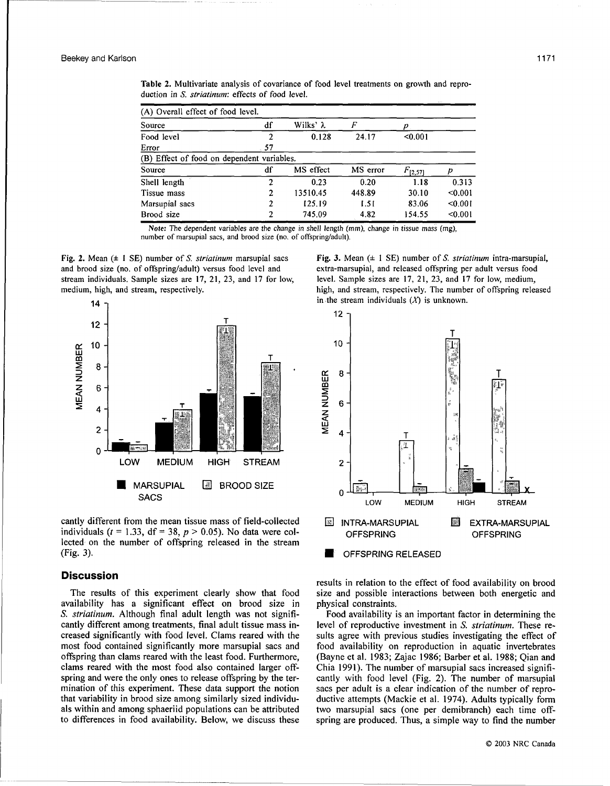Table 2. Multivariate analysis of covariance of food level treatments on growth and reproduction in *S. striatinum:* effects of food level.

| (A) Overall effect of food level.          |      |           |          |              |         |  |
|--------------------------------------------|------|-----------|----------|--------------|---------|--|
| Source                                     | df   | Wilks' λ  | F        |              |         |  |
| Food level                                 |      | 0.128     | 24.17    | < 0.001      |         |  |
| Error                                      | - 57 |           |          |              |         |  |
| (B) Effect of food on dependent variables. |      |           |          |              |         |  |
| Source                                     | df   | MS effect | MS error | $F_{[2,57]}$ |         |  |
| Shell length                               | 2    | 0.23      | 0.20     | 1.18         | 0.313   |  |
| Tissue mass                                | 2    | 13510.45  | 448.89   | 30.10        | < 0.001 |  |
| Marsupial sacs                             |      | 125.19    | 1.51     | 83.06        | < 0.001 |  |
| Brood size                                 | 2    | 745.09    | 4.82     | 154.55       | < 0.001 |  |

Note: The dependent variables are the change in shell length (mm), change in tissue mass (mg), number of marsupial sacs, and brood size (no. of offspring/adult).

Fig. 2. Mean (± 1 SE) number of *S. striatinum* marsupial sacs and brood size (no. of offspring/adult) versus food level and stream individuals. Sample sizes are 17, 21, 23, and 17 for low, medium, high, and stream, respectively.



cantly different from the mean tissue mass of field-collected individuals ( $t = 1.33$ , df = 38,  $p > 0.05$ ). No data were collected on the number of offspring released in the stream (Fig. 3).

#### **Discussion**

The results of this experiment clearly show that food availability has a significant effect on brood size in *S. striatinum.* Although final adult length was not significantly different among treatments, final adult tissue mass increased significantly with food level. Clams reared with the most food contained significantly more marsupial sacs and offspring than clams reared with the least food. Furthermore, clams reared with the most food also contained larger offspring and were the only ones to release offspring by the termination of this experiment. These data support the notion that variability in brood size among similarly sized individuals within and among sphaeriid populations can be attributed to differences in food availability. Below, we discuss these

Fig. 3. Mean (± 1 SE) number of *S. striatinum* intra-marsupial, extra-marsupial, and released offspring per adult versus food level. Sample sizes are 17, 21, 23, and 17 for low, medium, high, and stream, respectively. The number of offspring released in the stream individuals *(X)* is unknown.



results in relation to the effect of food availability on brood size and possible interactions between both energetic and physical constraints.

Food availability is an important factor in determining the level of reproductive investment in *S. striatinum.* These results agree with previous studies investigating the effect of food availability on reproduction in aquatic invertebrates (Bayne et al. 1983; Zajac 1986; Barber et al. 1988; Qian and Chia 1991). The number of marsupial sacs increased significantly with food level (Fig. 2). The number of marsupial sacs per adult is a clear indication of the number of reproductive attempts (Mackie et al. 1974). Adults typically form two marsupial sacs (one per demibranch) each time offspring are produced. Thus, a simple way to find the number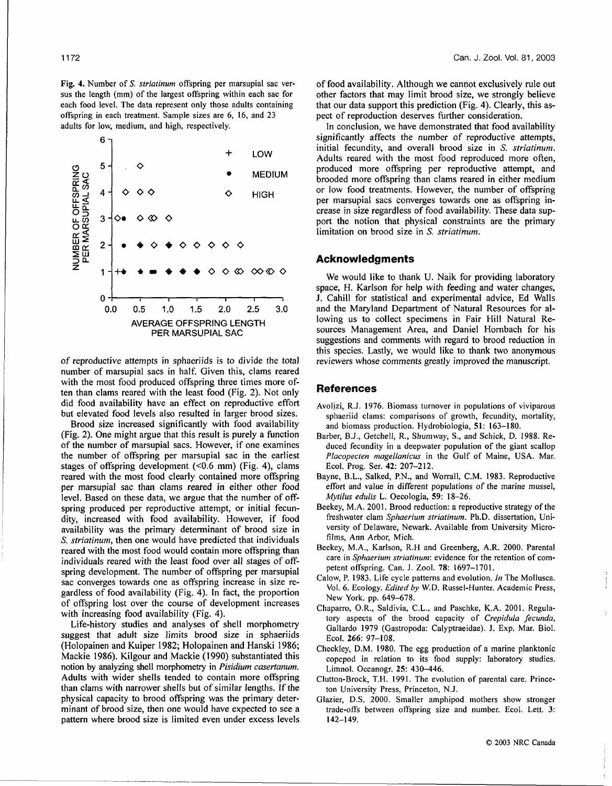Fig. 4. Number of *S. striatinum* offspring per marsupial sac versus the length (mm) of the largest offspring within each sac for each food level. The data represent only those adults containing offspring in each treatment. Sample sizes are 6, 16, and 23 adults for low, medium, and high, respectively.



of reproductive attempts in sphaeriids is to divide the total number of marsupial sacs in half. Given this, clams reared with the most food produced offspring three times more often than clams reared with the least food (Fig. 2). Not only did food availability have an effect on reproductive effort but elevated food levels also resulted in larger brood sizes.

Brood size increased significantly with food availability (Fig. 2). One might argue that this result is purely a function of the number of marsupial sacs. However, if one examines the number of offspring per marsupial sac in the earliest stages of offspring development (<0.6 mm) (Fig. 4), clams reared with the most food clearly contained more offspring per marsupial sac than clams reared in either other food level. Based on these data, we argue that the number of offspring produced per reproductive attempt, or initial fecundity, increased with food availability. However, if food availability was the primary determinant of brood size in S. *striatinum,* then one would have predicted that individuals reared with the most food would contain more offspring than individuals reared with the least food over all stages of offspring development. The number of offspring per marsupial sac converges towards one as offspring increase in size regardless of food availability (Fig. 4). In fact, the proportion of offspring lost over the course of development increases with increasing food availability (Fig. 4).

Life-history studies and analyses of shell morphometry suggest that adult size limits brood size in sphaeriids (Holopainen and Kuiper 1982; Holopainen and Hanski 1986; Mackie 1986). Kilgour and Mackie (1990) substantiated this notion by analyzing shell morphometry in *Pisidium casertanum.*  Adults with wider shells tended to contain more offspring than clams with narrower shells but of similar lengths. If the physical capacity to brood offspring was the primary determinant of brood size, then one would have expected to see a pattern where brood size is limited even under excess levels of food availability. Although we cannot exclusively rule out other factors that may limit brood size, we strongly believe that our data support this prediction (Fig. 4). Clearly, this aspect of reproduction deserves further consideration.

In conclusion, we have demonstrated that food availability significantly affects the number of reproductive attempts, initial fecundity, and overall brood size in *S. striatinum.*  Adults reared with the most food reproduced more often, produced more offspring per reproductive attempt, and brooded more offspring than clams reared in either medium or low food treatments. However, the number of offspring per marsupial sacs converges towards one as offspring increase in size regardless of food availability. These data support the notion that physical constraints are the primary limitation on brood size in *S. striatinum.* 

#### **Acknowledgments**

We would like to thank U. Naik for providing laboratory space, H. Karlson for help with feeding and water changes, J. Cahill for statistical and experimental advice, Ed Walls and the Maryland Department of Natural Resources for allowing us to collect specimens in Fair Hill Natural Resources Management Area, and Daniel Hornbach for his suggestions and comments with regard to brood reduction in this species. Lastly, we would like to thank two anonymous reviewers whose comments greatly improved the manuscript.

#### References

- Avolizi, R.J. 1976. Biomass turnover in populations of viviparous sphaeriid clams: comparisons of growth, fecundity, mortality, and biomass production. Hydrobiologia, 51: 163-180.
- Barber, B.J., Getchell, R., Shumway, S., and Schick, D. 1988. Reduced fecundity in a deepwater population of the giant scallop *Placopecten magellanicus* in the Gulf of Maine, USA. Mar. Ecol. Prog. Ser. 42: 207-212.
- Bayne, B.L., Salked, P.N., and Worrall, C.M. 1983. Reproductive effort and value in different populations of the marine mussel, *Mytilus edulis* L. Oecologia, 59: 18-26.
- Beekey, M.A. 2001. Brood reduction: a reproductive strategy of the freshwater clam *Sphaerium striatinum.* Ph.D. dissertation, University of Delaware, Newark. Available from University Microfilms, Ann Arbor, Mich.
- Beekey, M.A., Karlson, R.H and Greenberg, A.R. 2000. Parental care in *Sphaerium striatinum:* evidence for the retention of competent offspring. Can. J. Zool. 78: 1697-1701.
- Calow, P. 1983. Life cycle patterns and evolution. *In* The Mollusca. Vol. 6. Ecology. *Edited by* W.D. Russel-Hunter. Academic Press, New York. pp. 649-678.
- Chaparro, O.R., Saldivia, C.L., and Paschke, K.A. 2001. Regulatory aspects of the brood capacity of *Crepidula fecunda,*  Gallardo 1979 (Gastropoda: Calyptraeidae). J. Exp. Mar. Biol. Ecol. 266: 97-108.
- Checkley, D.M. 1980. The egg production of a marine planktonic copepod in relation to its food supply: laboratory studies. Limnol. Oceanogr. 25: 430-446.
- Clutton-Brock, T.H. 1991. The evolution of parental care. Princeton University Press, Princeton, N.J.
- Glazier, D.S. 2000. Smaller amphipod mothers show stronger trade-offs between offspring size and number. Ecol. Lett. 3: 142-149.